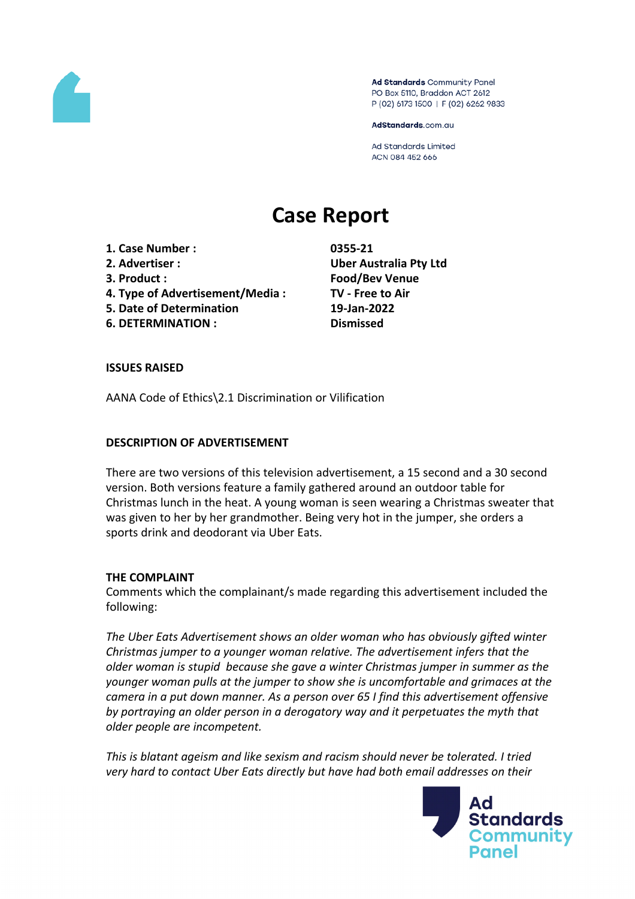

Ad Standards Community Panel PO Box 5110, Braddon ACT 2612 P (02) 6173 1500 | F (02) 6262 9833

AdStandards.com.au

Ad Standards Limited ACN 084 452 666

# **Case Report**

- **1. Case Number : 0355-21**
- 
- 
- **4. Type of Advertisement/Media : TV - Free to Air**
- **5. Date of Determination 19-Jan-2022**
- **6. DETERMINATION : Dismissed**

**2. Advertiser : Uber Australia Pty Ltd 3. Product : Food/Bev Venue**

## **ISSUES RAISED**

AANA Code of Ethics\2.1 Discrimination or Vilification

## **DESCRIPTION OF ADVERTISEMENT**

There are two versions of this television advertisement, a 15 second and a 30 second version. Both versions feature a family gathered around an outdoor table for Christmas lunch in the heat. A young woman is seen wearing a Christmas sweater that was given to her by her grandmother. Being very hot in the jumper, she orders a sports drink and deodorant via Uber Eats.

#### **THE COMPLAINT**

Comments which the complainant/s made regarding this advertisement included the following:

*The Uber Eats Advertisement shows an older woman who has obviously gifted winter Christmas jumper to a younger woman relative. The advertisement infers that the older woman is stupid because she gave a winter Christmas jumper in summer as the younger woman pulls at the jumper to show she is uncomfortable and grimaces at the camera in a put down manner. As a person over 65 I find this advertisement offensive by portraying an older person in a derogatory way and it perpetuates the myth that older people are incompetent.*

*This is blatant ageism and like sexism and racism should never be tolerated. I tried very hard to contact Uber Eats directly but have had both email addresses on their*

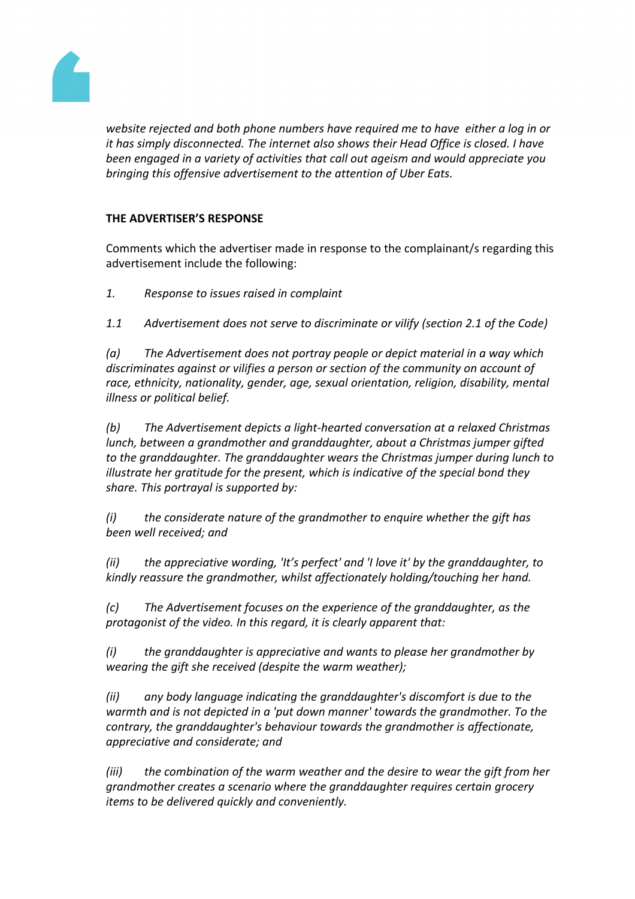

*website rejected and both phone numbers have required me to have either a log in or it has simply disconnected. The internet also shows their Head Office is closed. I have been engaged in a variety of activities that call out ageism and would appreciate you bringing this offensive advertisement to the attention of Uber Eats.*

## **THE ADVERTISER'S RESPONSE**

Comments which the advertiser made in response to the complainant/s regarding this advertisement include the following:

*1. Response to issues raised in complaint*

*1.1 Advertisement does not serve to discriminate or vilify (section 2.1 of the Code)*

*(a) The Advertisement does not portray people or depict material in a way which discriminates against or vilifies a person or section of the community on account of race, ethnicity, nationality, gender, age, sexual orientation, religion, disability, mental illness or political belief.*

*(b) The Advertisement depicts a light-hearted conversation at a relaxed Christmas lunch, between a grandmother and granddaughter, about a Christmas jumper gifted to the granddaughter. The granddaughter wears the Christmas jumper during lunch to illustrate her gratitude for the present, which is indicative of the special bond they share. This portrayal is supported by:*

*(i) the considerate nature of the grandmother to enquire whether the gift has been well received; and*

*(ii) the appreciative wording, 'It's perfect' and 'I love it' by the granddaughter, to kindly reassure the grandmother, whilst affectionately holding/touching her hand.*

*(c) The Advertisement focuses on the experience of the granddaughter, as the protagonist of the video. In this regard, it is clearly apparent that:*

*(i) the granddaughter is appreciative and wants to please her grandmother by wearing the gift she received (despite the warm weather);*

*(ii) any body language indicating the granddaughter's discomfort is due to the warmth and is not depicted in a 'put down manner' towards the grandmother. To the contrary, the granddaughter's behaviour towards the grandmother is affectionate, appreciative and considerate; and*

*(iii) the combination of the warm weather and the desire to wear the gift from her grandmother creates a scenario where the granddaughter requires certain grocery items to be delivered quickly and conveniently.*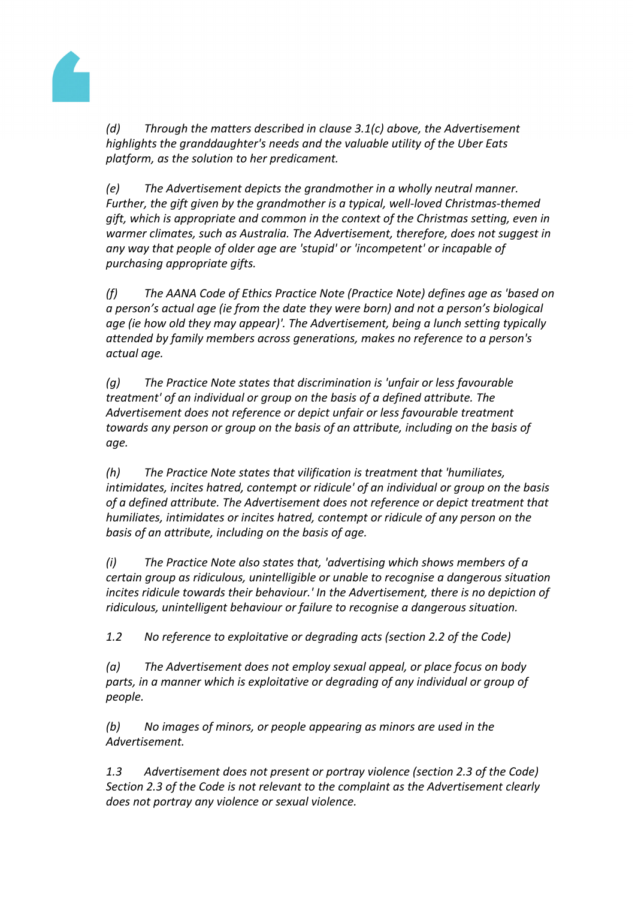

*(d) Through the matters described in clause 3.1(c) above, the Advertisement highlights the granddaughter's needs and the valuable utility of the Uber Eats platform, as the solution to her predicament.*

*(e) The Advertisement depicts the grandmother in a wholly neutral manner. Further, the gift given by the grandmother is a typical, well-loved Christmas-themed gift, which is appropriate and common in the context of the Christmas setting, even in warmer climates, such as Australia. The Advertisement, therefore, does not suggest in any way that people of older age are 'stupid' or 'incompetent' or incapable of purchasing appropriate gifts.*

*(f) The AANA Code of Ethics Practice Note (Practice Note) defines age as 'based on a person's actual age (ie from the date they were born) and not a person's biological age (ie how old they may appear)'. The Advertisement, being a lunch setting typically attended by family members across generations, makes no reference to a person's actual age.*

*(g) The Practice Note states that discrimination is 'unfair or less favourable treatment' of an individual or group on the basis of a defined attribute. The Advertisement does not reference or depict unfair or less favourable treatment towards any person or group on the basis of an attribute, including on the basis of age.*

*(h) The Practice Note states that vilification is treatment that 'humiliates, intimidates, incites hatred, contempt or ridicule' of an individual or group on the basis of a defined attribute. The Advertisement does not reference or depict treatment that humiliates, intimidates or incites hatred, contempt or ridicule of any person on the basis of an attribute, including on the basis of age.*

*(i) The Practice Note also states that, 'advertising which shows members of a certain group as ridiculous, unintelligible or unable to recognise a dangerous situation incites ridicule towards their behaviour.' In the Advertisement, there is no depiction of ridiculous, unintelligent behaviour or failure to recognise a dangerous situation.*

*1.2 No reference to exploitative or degrading acts (section 2.2 of the Code)*

*(a) The Advertisement does not employ sexual appeal, or place focus on body parts, in a manner which is exploitative or degrading of any individual or group of people.*

*(b) No images of minors, or people appearing as minors are used in the Advertisement.*

*1.3 Advertisement does not present or portray violence (section 2.3 of the Code) Section 2.3 of the Code is not relevant to the complaint as the Advertisement clearly does not portray any violence or sexual violence.*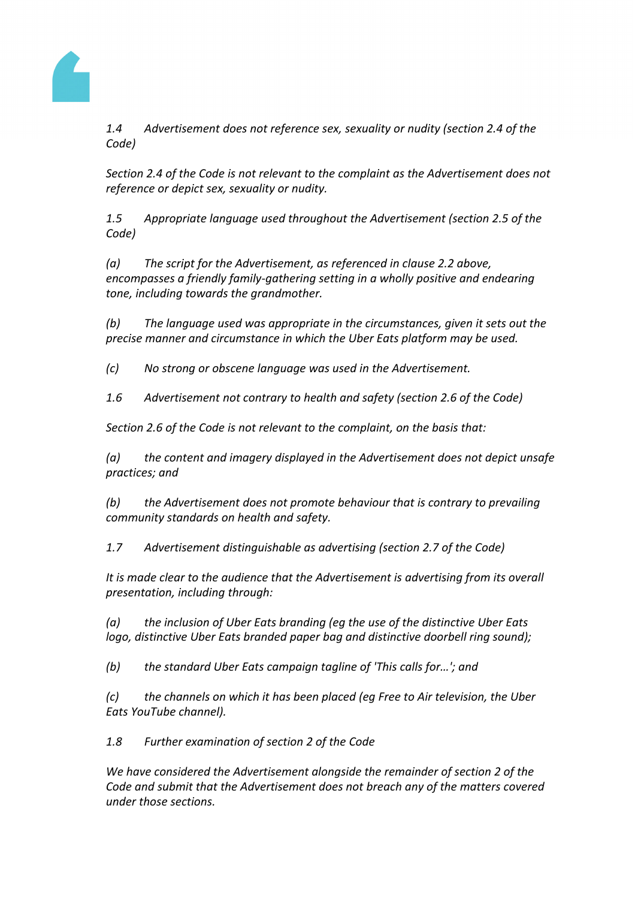

*1.4 Advertisement does not reference sex, sexuality or nudity (section 2.4 of the Code)*

*Section 2.4 of the Code is not relevant to the complaint as the Advertisement does not reference or depict sex, sexuality or nudity.*

*1.5 Appropriate language used throughout the Advertisement (section 2.5 of the Code)*

*(a) The script for the Advertisement, as referenced in clause 2.2 above, encompasses a friendly family-gathering setting in a wholly positive and endearing tone, including towards the grandmother.*

*(b) The language used was appropriate in the circumstances, given it sets out the precise manner and circumstance in which the Uber Eats platform may be used.*

*(c) No strong or obscene language was used in the Advertisement.*

*1.6 Advertisement not contrary to health and safety (section 2.6 of the Code)*

*Section 2.6 of the Code is not relevant to the complaint, on the basis that:*

*(a) the content and imagery displayed in the Advertisement does not depict unsafe practices; and*

*(b) the Advertisement does not promote behaviour that is contrary to prevailing community standards on health and safety.*

*1.7 Advertisement distinguishable as advertising (section 2.7 of the Code)*

*It is made clear to the audience that the Advertisement is advertising from its overall presentation, including through:*

*(a) the inclusion of Uber Eats branding (eg the use of the distinctive Uber Eats logo, distinctive Uber Eats branded paper bag and distinctive doorbell ring sound);*

*(b) the standard Uber Eats campaign tagline of 'This calls for…'; and*

*(c) the channels on which it has been placed (eg Free to Air television, the Uber Eats YouTube channel).*

*1.8 Further examination of section 2 of the Code*

*We have considered the Advertisement alongside the remainder of section 2 of the Code and submit that the Advertisement does not breach any of the matters covered under those sections.*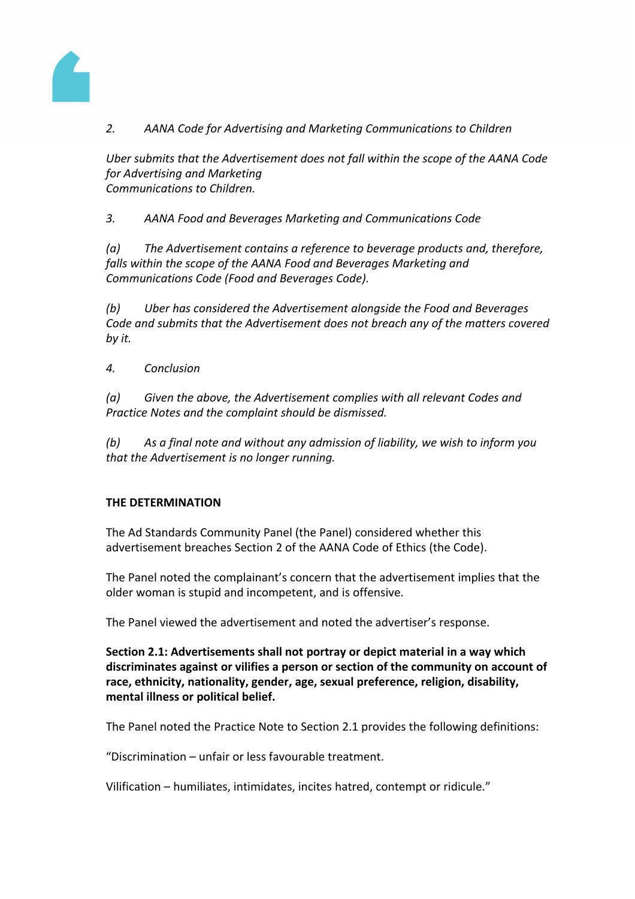

# *2. AANA Code for Advertising and Marketing Communications to Children*

*Uber submits that the Advertisement does not fall within the scope of the AANA Code for Advertising and Marketing Communications to Children.*

*3. AANA Food and Beverages Marketing and Communications Code*

*(a) The Advertisement contains a reference to beverage products and, therefore, falls within the scope of the AANA Food and Beverages Marketing and Communications Code (Food and Beverages Code).*

*(b) Uber has considered the Advertisement alongside the Food and Beverages Code and submits that the Advertisement does not breach any of the matters covered by it.*

*4. Conclusion*

*(a) Given the above, the Advertisement complies with all relevant Codes and Practice Notes and the complaint should be dismissed.*

*(b) As a final note and without any admission of liability, we wish to inform you that the Advertisement is no longer running.*

## **THE DETERMINATION**

The Ad Standards Community Panel (the Panel) considered whether this advertisement breaches Section 2 of the AANA Code of Ethics (the Code).

The Panel noted the complainant's concern that the advertisement implies that the older woman is stupid and incompetent, and is offensive.

The Panel viewed the advertisement and noted the advertiser's response.

**Section 2.1: Advertisements shall not portray or depict material in a way which discriminates against or vilifies a person or section of the community on account of race, ethnicity, nationality, gender, age, sexual preference, religion, disability, mental illness or political belief.**

The Panel noted the Practice Note to Section 2.1 provides the following definitions:

"Discrimination – unfair or less favourable treatment.

Vilification – humiliates, intimidates, incites hatred, contempt or ridicule."